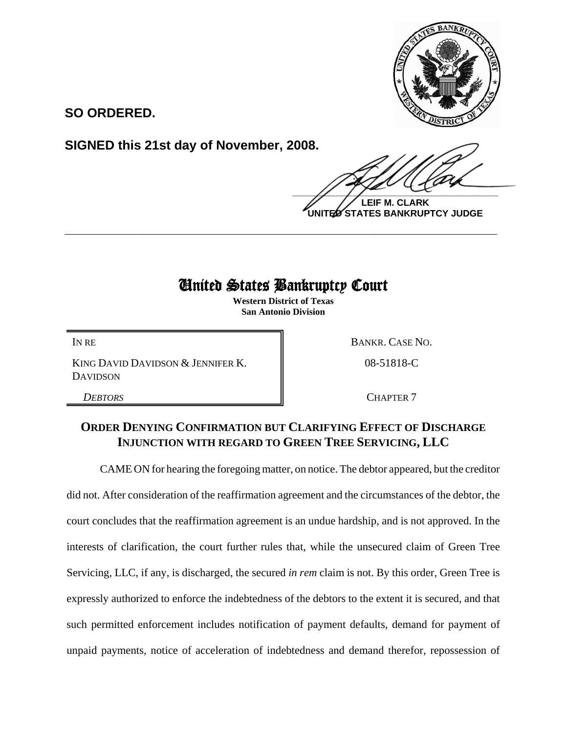

**SO ORDERED.**

**SIGNED this 21st day of November, 2008.**

 $\frac{1}{2}$ 

**LEIF M. CLARK UNITED STATES BANKRUPTCY JUDGE**

## United States Bankruptcy Court

**\_\_\_\_\_\_\_\_\_\_\_\_\_\_\_\_\_\_\_\_\_\_\_\_\_\_\_\_\_\_\_\_\_\_\_\_\_\_\_\_\_\_\_\_\_\_\_\_\_\_\_\_\_\_\_\_\_\_\_\_**

**Western District of Texas San Antonio Division**

KING DAVID DAVIDSON & JENNIFER K. DAVIDSON

IN RE BANKR. CASE NO.

08-51818-C

**DEBTORS** CHAPTER 7

## **ORDER DENYING CONFIRMATION BUT CLARIFYING EFFECT OF DISCHARGE INJUNCTION WITH REGARD TO GREEN TREE SERVICING, LLC**

CAME ON for hearing the foregoing matter, on notice. The debtor appeared, but the creditor did not. After consideration of the reaffirmation agreement and the circumstances of the debtor, the court concludes that the reaffirmation agreement is an undue hardship, and is not approved. In the interests of clarification, the court further rules that, while the unsecured claim of Green Tree Servicing, LLC, if any, is discharged, the secured *in rem* claim is not. By this order, Green Tree is expressly authorized to enforce the indebtedness of the debtors to the extent it is secured, and that such permitted enforcement includes notification of payment defaults, demand for payment of unpaid payments, notice of acceleration of indebtedness and demand therefor, repossession of